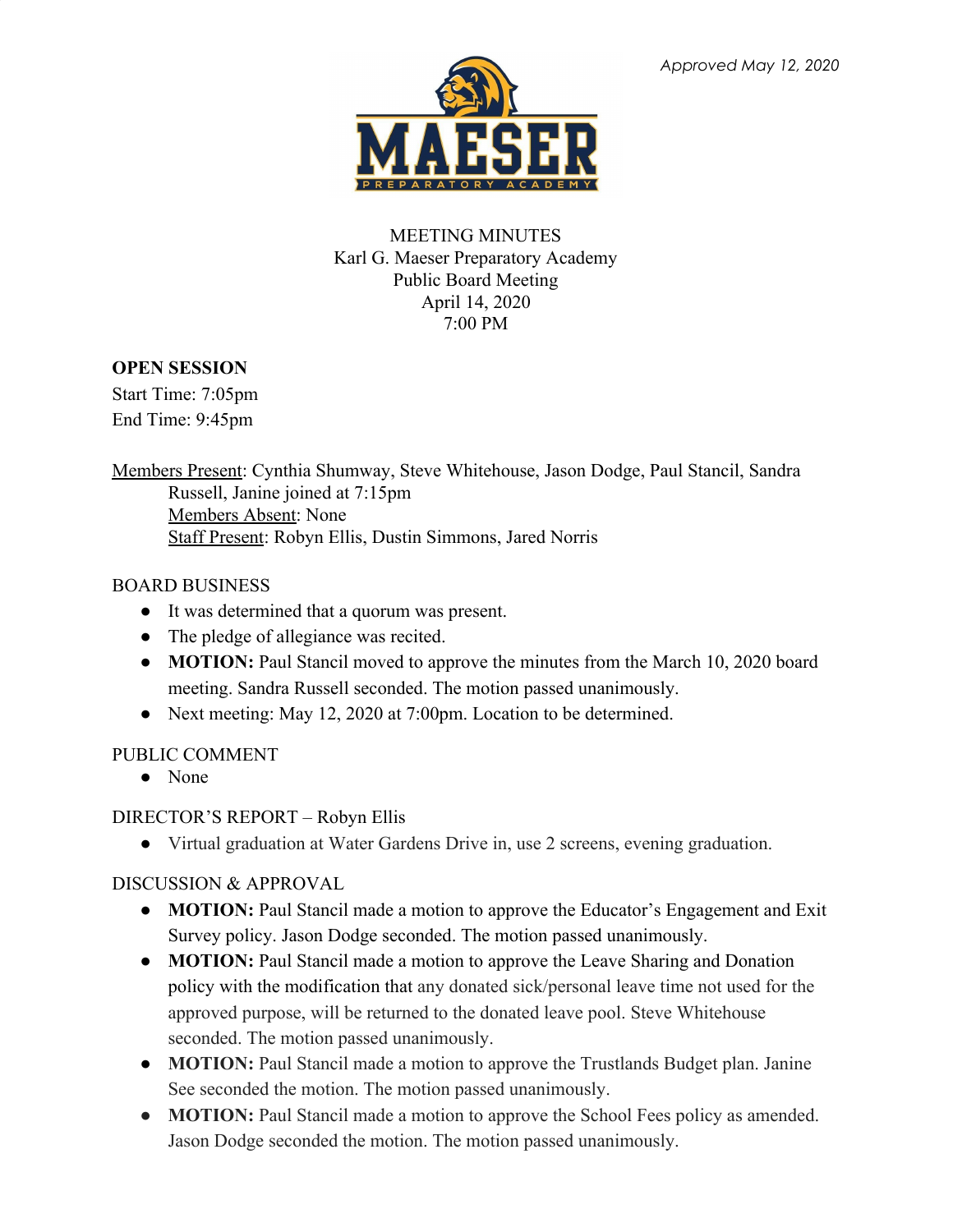

#### MEETING MINUTES Karl G. Maeser Preparatory Academy Public Board Meeting April 14, 2020 7:00 PM

## **OPEN SESSION**

Start Time: 7:05pm End Time: 9:45pm

Members Present: Cynthia Shumway, Steve Whitehouse, Jason Dodge, Paul Stancil, Sandra Russell, Janine joined at 7:15pm Members Absent: None Staff Present: Robyn Ellis, Dustin Simmons, Jared Norris

## BOARD BUSINESS

- It was determined that a quorum was present.
- The pledge of allegiance was recited.
- **MOTION:** Paul Stancil moved to approve the minutes from the March 10, 2020 board meeting. Sandra Russell seconded. The motion passed unanimously.
- Next meeting: May 12, 2020 at 7:00pm. Location to be determined.

## PUBLIC COMMENT

● None

DIRECTOR'S REPORT – Robyn Ellis

● Virtual graduation at Water Gardens Drive in, use 2 screens, evening graduation.

# DISCUSSION & APPROVAL

- **MOTION:** Paul Stancil made a motion to approve the Educator's Engagement and Exit Survey policy. Jason Dodge seconded. The motion passed unanimously.
- **● MOTION:** Paul Stancil made a motion to approve the Leave Sharing and Donation policy with the modification that any donated sick/personal leave time not used for the approved purpose, will be returned to the donated leave pool. Steve Whitehouse seconded. The motion passed unanimously.
- **● MOTION:** Paul Stancil made a motion to approve the Trustlands Budget plan. Janine See seconded the motion. The motion passed unanimously.
- **● MOTION:** Paul Stancil made a motion to approve the School Fees policy as amended. Jason Dodge seconded the motion. The motion passed unanimously.